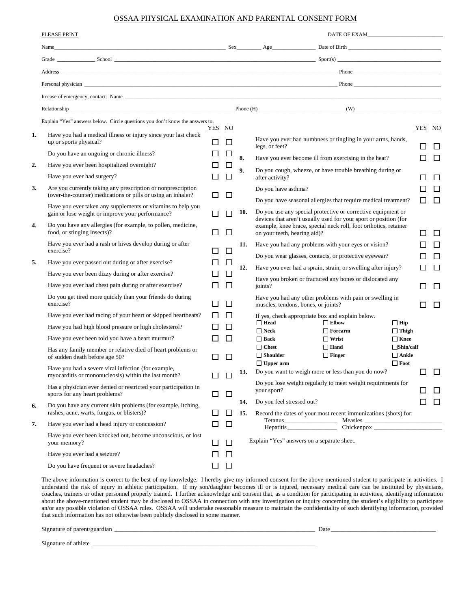## OSSAA PHYSICAL EXAMINATION AND PARENTAL CONSENT FORM

|    | PLEASE PRINT                                                                                                                 |                  |              |            |                                                                                                                                        |                |              |             |  |  |  |
|----|------------------------------------------------------------------------------------------------------------------------------|------------------|--------------|------------|----------------------------------------------------------------------------------------------------------------------------------------|----------------|--------------|-------------|--|--|--|
|    |                                                                                                                              |                  |              |            |                                                                                                                                        |                |              |             |  |  |  |
|    |                                                                                                                              |                  |              |            |                                                                                                                                        |                |              |             |  |  |  |
|    |                                                                                                                              |                  |              |            |                                                                                                                                        |                |              |             |  |  |  |
|    |                                                                                                                              |                  |              |            |                                                                                                                                        |                |              |             |  |  |  |
|    |                                                                                                                              |                  |              |            |                                                                                                                                        |                |              |             |  |  |  |
|    |                                                                                                                              |                  |              |            |                                                                                                                                        |                |              |             |  |  |  |
|    | Explain "Yes" answers below. Circle questions you don't know the answers to.                                                 |                  |              |            |                                                                                                                                        |                |              |             |  |  |  |
| 1. | Have you had a medical illness or injury since your last check<br>up or sports physical?                                     | YES NO<br>$\Box$ | $\Box$       |            | Have you ever had numbness or tingling in your arms, hands,<br>legs, or feet?                                                          | ΙI             |              | YES NO<br>П |  |  |  |
|    | Do you have an ongoing or chronic illness?                                                                                   | $\Box$           |              | 8.         | Have you ever become ill from exercising in the heat?                                                                                  | П              |              | П           |  |  |  |
| 2. | Have you ever been hospitalized overnight?                                                                                   | ப                | ⊔            | 9.         | Do you cough, wheeze, or have trouble breathing during or                                                                              |                |              |             |  |  |  |
|    | Have you ever had surgery?                                                                                                   |                  | $\mathsf{L}$ |            | after activity?                                                                                                                        |                |              | П           |  |  |  |
| 3. | Are you currently taking any prescription or nonprescription<br>(over-the-counter) medications or pills or using an inhaler? |                  |              |            | Do you have asthma?                                                                                                                    |                |              | П           |  |  |  |
|    | Have you ever taken any supplements or vitamins to help you                                                                  | П                | $\Box$       |            | Do you have seasonal allergies that require medical treatment?                                                                         |                | $\Box$       | $\Box$      |  |  |  |
|    | gain or lose weight or improve your performance?                                                                             | П                |              | 10.        | Do you use any special protective or corrective equipment or<br>devices that aren't usually used for your sport or position (for       |                |              |             |  |  |  |
| 4. | Do you have any allergies (for example, to pollen, medicine,<br>food, or stinging insects)?                                  | $\mathsf{L}$     | ⊔            |            | example, knee brace, special neck roll, foot orthotics, retainer<br>on your teeth, hearing aid)?                                       | ш              |              | П           |  |  |  |
|    | Have you ever had a rash or hives develop during or after<br>exercise?                                                       |                  | ப            | 11.        | Have you had any problems with your eyes or vision?                                                                                    |                |              | П           |  |  |  |
| 5. | Have you ever passed out during or after exercise?                                                                           | ⊔                | □            |            | Do you wear glasses, contacts, or protective eyewear?                                                                                  |                |              | П           |  |  |  |
|    | Have you ever been dizzy during or after exercise?                                                                           |                  | $\Box$       | 12.        | Have you ever had a sprain, strain, or swelling after injury?                                                                          |                | $\mathsf{L}$ | П           |  |  |  |
|    | Have you ever had chest pain during or after exercise?                                                                       |                  | $\Box$       |            | Have you broken or fractured any bones or dislocated any<br>joints?                                                                    | ГI             |              | $\Box$      |  |  |  |
|    | Do you get tired more quickly than your friends do during<br>exercise?                                                       | $\Box$           | $\Box$       |            | Have you had any other problems with pain or swelling in<br>muscles, tendons, bones, or joints?                                        | П              |              | $\Box$      |  |  |  |
|    | Have you ever had racing of your heart or skipped heartbeats?                                                                | $\perp$          | L            |            | If yes, check appropriate box and explain below.                                                                                       |                |              |             |  |  |  |
|    | Have you had high blood pressure or high cholesterol?                                                                        |                  | $\Box$       |            | $\Box$ Elbow<br>$\Box$ Head<br>$\Box$ Hip<br>$\Box$ Neck<br>$\Box$ Forearm<br>$\Box$ Thigh                                             |                |              |             |  |  |  |
|    | Have you ever been told you have a heart murmur?                                                                             | П                | $\Box$       |            | $\Box$ Wrist<br>$\Box$ Back<br>$\Box$ Knee                                                                                             |                |              |             |  |  |  |
|    | Has any family member or relative died of heart problems or<br>of sudden death before age 50?                                | $\Box$           | $\Box$       |            | $\Box$ Chest<br>$\Box$ Hand<br>$\Box$ Shin/calf<br>$\Box$ Shoulder<br>$\Box$ Finger<br>$\Box$ Ankle<br>$\Box$ Foot<br>$\Box$ Upper arm |                |              |             |  |  |  |
|    | Have you had a severe viral infection (for example,<br>myocarditis or mononucleosis) within the last month?                  |                  | ⊔            | 13.        | Do you want to weigh more or less than you do now?                                                                                     |                | $\Box$       | $\Box$      |  |  |  |
|    | Has a physician ever denied or restricted your participation in<br>sports for any heart problems?                            | $\Box$           | □            |            | Do you lose weight regularly to meet weight requirements for<br>your sport?                                                            | П              |              | $\Box$      |  |  |  |
| 6. | Do you have any current skin problems (for example, itching,<br>rashes, acne, warts, fungus, or blisters)?                   | $\Box$           | ⊔            | 14.<br>15. | Do you feel stressed out?<br>Record the dates of your most recent immunizations (shots) for:                                           | $\mathbb{R}^n$ |              | $\Box$      |  |  |  |
| 7. | Have you ever had a head injury or concussion?                                                                               | ⊔                | $\Box$       |            | Tetanus<br>Hepatitis                                                                                                                   |                |              |             |  |  |  |
|    | Have you ever been knocked out, become unconscious, or lost<br>your memory?                                                  | $\Box$           | ப            |            | Explain "Yes" answers on a separate sheet.                                                                                             |                |              |             |  |  |  |
|    | Have you ever had a seizure?                                                                                                 | ⊔                | ⊔            |            |                                                                                                                                        |                |              |             |  |  |  |
|    | Do you have frequent or severe headaches?                                                                                    | $\Box$           | $\Box$       |            |                                                                                                                                        |                |              |             |  |  |  |

The above information is correct to the best of my knowledge. I hereby give my informed consent for the above-mentioned student to participate in activities. I understand the risk of injury in athletic participation. If my son/daughter becomes ill or is injured, necessary medical care can be instituted by physicians, coaches, trainers or other personnel properly trained. I further acknowledge and consent that, as a condition for participating in activities, identifying information about the above-mentioned student may be disclosed to OSSAA in connection with any investigation or inquiry concerning the student's eligibility to participate an/or any possible violation of OSSAA rules. OSSAA will undertake reasonable measure to maintain the confidentiality of such identifying information, provided that such information has not otherwise been publicly disclosed in some manner.

Signature of parent/guardian \_\_\_\_\_\_\_\_\_\_\_\_\_\_\_\_\_\_\_\_\_\_\_\_\_\_\_\_\_\_\_\_\_\_\_\_\_\_\_\_\_\_\_\_\_\_\_\_\_\_\_\_\_\_\_\_\_\_\_\_\_\_\_\_\_ Date \_\_\_\_\_\_\_\_\_\_\_\_\_\_\_\_\_\_\_\_\_\_\_\_\_\_\_\_\_\_\_\_\_\_

Signature of athlete \_\_\_\_\_\_\_\_\_\_\_\_\_\_\_\_\_\_\_\_\_\_\_\_\_\_\_\_\_\_\_\_\_\_\_\_\_\_\_\_\_\_\_\_\_\_\_\_\_\_\_\_\_\_\_\_\_\_\_\_\_\_\_\_\_\_\_\_\_\_\_\_